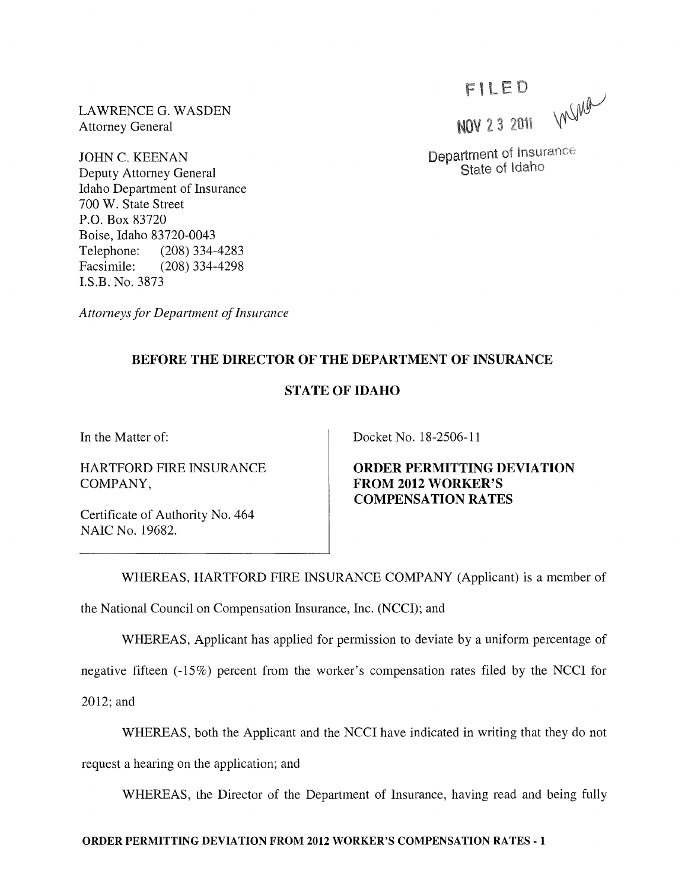LAWRENCEG. WASDEN Attorney General

JOHN C. KEENAN Deputy Attorney General Idaho Department of Insurance 700 W. State Street P.O. Box 83720 Boise, Idaho 83720-0043 Telephone: (208) 334-4283 Facsimile: (208) 334-4298 I.S.B. No. 3873

*Attorneys for Department of Insurance* 

**FILED** memor **NOV 23 2011** 

Department of Insurance State of Idaho

## BEFORE THE DIRECTOR OF THE DEPARTMENT OF INSURANCE

## STATE OF IDAHO

In the Matter of:

HARTFORD FIRE INSURANCE COMPANY,

Certificate of Authority No. 464 NAIC No. 19682.

Docket No. 18-2506-11

ORDER PERMITTING DEVIATION FROM 2012 WORKER'S COMPENSATION RATES

WHEREAS, HARTFORD FIRE INSURANCE COMPANY (Applicant) is a member of the National Council on Compensation Insurance, Inc. (NCCI); and

WHEREAS, Applicant has applied for permission to deviate by a uniform percentage of

negative fifteen (-15%) percent from the worker's compensation rates filed by the NCCI for

2012; and

WHEREAS, both the Applicant and the NCCI have indicated in writing that they do not

request a hearing on the application; and

WHEREAS, the Director of the Department of Insurance, having read and being fully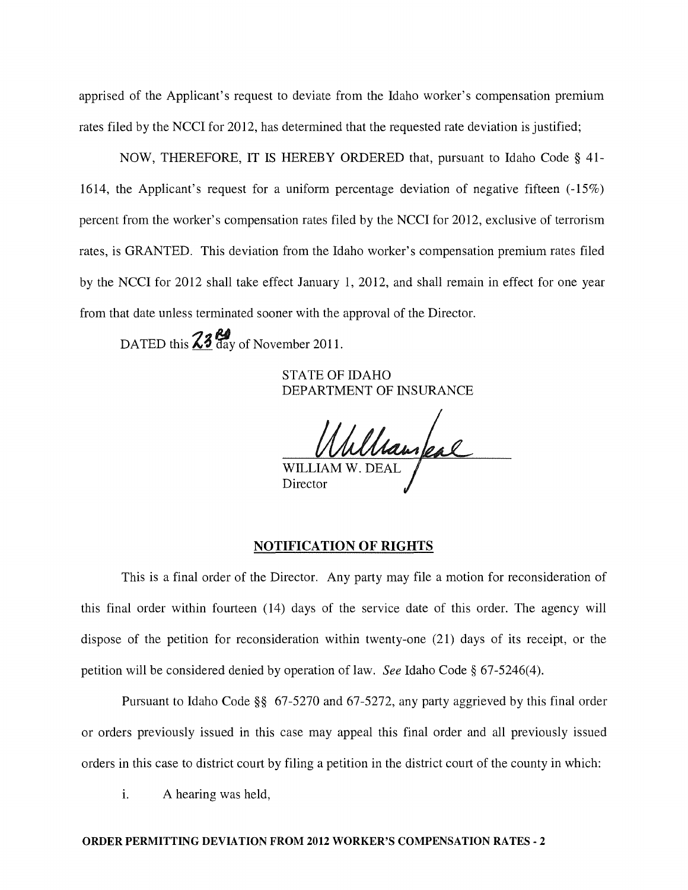apprised of the Applicant's request to deviate from the Idaho worker's compensation premium rates filed by the NCCI for 2012, has determined that the requested rate deviation is justified;

NOW, THEREFORE, IT IS HEREBY ORDERED that, pursuant to Idaho Code § 41- 1614, the Applicant's request for a uniform percentage deviation of negative fifteen  $(-15\%)$ percent from the worker's compensation rates filed by the NCCI for 2012, exclusive of terrorism rates, is GRANTED. This deviation from the Idaho worker's compensation premium rates filed by the NCCI for 2012 shall take effect January 1, 2012, and shall remain in effect for one year from that date unless terminated sooner with the approval of the Director.

DATED this  $\frac{23}{4}$  day of November 2011.

STATE OF IDAHO DEPARTMENT OF INSURANCE

WILLIAM W. DEAL **Director** 

## NOTIFICATION OF RIGHTS

This is a final order of the Director. Any party may file a motion for reconsideration of this final order within fourteen (14) days of the service date of this order. The agency will dispose of the petition for reconsideration within twenty-one (21) days of its receipt, or the petition will be considered denied by operation of law. *See* Idaho Code § 67-5246(4).

Pursuant to Idaho Code §§ 67-5270 and 67-5272, any party aggrieved by this final order or orders previously issued in this case may appeal this final order and all previously issued orders in this case to district court by filing a petition in the district court of the county in which:

i. A hearing was held,